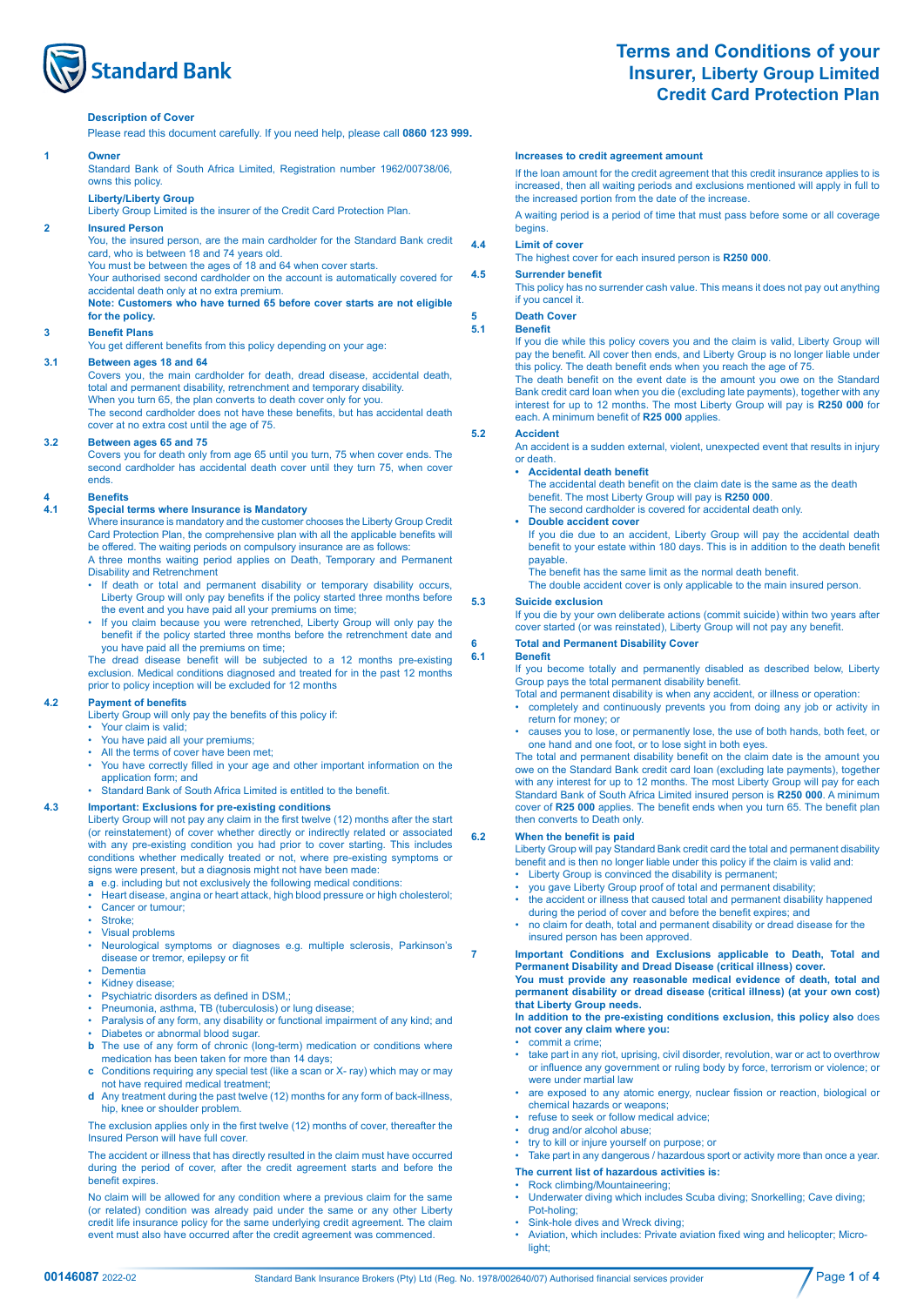

# **Terms and Conditions of your Insurer, Liberty Group Limited Credit Card Protection Plan**

### **Description of Cover**

Please read this document carefully. If you need help, please call **0860 123 999.** 

### **1 Owner**

Standard Bank of South Africa Limited, Registration number 1962/00738/06, owns this policy.

# **Liberty/Liberty Group**

Liberty Group Limited is the insurer of the Credit Card Protection Plan.

# **2 Insured Person**

You, the insured person, are the main cardholder for the Standard Bank credit card, who is between 18 and 74 years old.

You must be between the ages of 18 and 64 when cover starts. Your authorised second cardholder on the account is automatically covered for accidental death only at no extra premium.

### **Note: Customers who have turned 65 before cover starts are not eligible for the policy.**

### **3 Benefit Plans**

 You get different benefits from this policy depending on your age:

# **3.1 Between ages 18 and 64**

Covers you, the main cardholder for death, dread disease, accidental death, total and permanent disability, retrenchment and temporary disability. When you turn 65, the plan converts to death cover only for you. The second cardholder does not have these benefits, but has accidental death

cover at no extra cost until the age of 75.

## **3.2 Between ages 65 and 75**

Covers you for death only from age 65 until you turn, 75 when cover ends. The second cardholder has accidental death cover until they turn 75, when cover ends.

# **4 Benefits**

## **4.1 Special terms where Insurance is Mandatory**

Where insurance is mandatory and the customer chooses the Liberty Group Credit Card Protection Plan, the comprehensive plan with all the applicable benefits will be offered. The waiting periods on compulsory insurance are as follows:

A three months waiting period applies on Death, Temporary and Permanent Disability and Retrenchment

- If death or total and permanent disability or temporary disability occurs, Liberty Group will only pay benefits if the policy started three months before the event and you have paid all your premiums on time;
- If you claim because you were retrenched, Liberty Group will only pay the benefit if the policy started three months before the retrenchment date and you have paid all the premiums on time;

 The dread disease benefit will be subjected to a 12 months pre-existing exclusion. Medical conditions diagnosed and treated for in the past 12 months prior to policy inception will be excluded for 12 months

# **4.2 Payment of benefits**

 Liberty Group will only pay the benefits of this policy if:

- Your claim is valid;
- You have paid all your premiums; All the terms of cover have been met;
- You have correctly filled in your age and other important information on the application form; and
- Standard Bank of South Africa Limited is entitled to the benefit.

## **4.3 Important: Exclusions for pre-existing conditions**

 Liberty Group will not pay any claim in the first twelve (12) months after the start (or reinstatement) of cover whether directly or indirectly related or associated with any pre-existing condition you had prior to cover starting. This includes conditions whether medically treated or not, where pre-existing symptoms or signs were present, but a diagnosis might not have been made:

- **a** e.g. including but not exclusively the following medical conditions:
- Heart disease, angina or heart attack, high blood pressure or high cholesterol;
- Cancer or tumour:
- Stroke;
- Visual problems

 • Neurological symptoms or diagnoses e.g. multiple sclerosis, Parkinson's disease or tremor, epilepsy or fit

- Dementia
- Kidney disease;
- Psychiatric disorders as defined in DSM,;
- Pneumonia, asthma, TB (tuberculosis) or lung disease;
- Paralysis of any form, any disability or functional impairment of any kind; and • Diabetes or abnormal blood sugar.
	- **b** The use of any form of chronic (long-term) medication or conditions where medication has been taken for more than 14 days;
	- **c** Conditions requiring any special test (like a scan or X- ray) which may or may not have required medical treatment;
	- **d** Any treatment during the past twelve (12) months for any form of back-illness, hip, knee or shoulder problem.

 The exclusion applies only in the first twelve (12) months of cover, thereafter the Insured Person will have full cover.

The accident or illness that has directly resulted in the claim must have occurred during the period of cover, after the credit agreement starts and before the benefit expires.

No claim will be allowed for any condition where a previous claim for the same (or related) condition was already paid under the same or any other Liberty credit life insurance policy for the same underlying credit agreement. The claim event must also have occurred after the credit agreement was commenced.

### **Increases to credit agreement amount**

If the loan amount for the credit agreement that this credit insurance applies to is increased, then all waiting periods and exclusions mentioned will apply in full to the increased portion from the date of the increase

A waiting period is a period of time that must pass before some or all coverage begins.

# **4.4 Limit of cover**

The highest cover for each insured person is **R250 000**.

### **4.5 Surrender benefit**

This policy has no surrender cash value. This means it does not pay out anything if you cancel it.

# **5 Death Cover**

### **5.1 Benefit**

If you die while this policy covers you and the claim is valid, Liberty Group will pay the benefit. All cover then ends, and Liberty Group is no longer liable under this policy. The death benefit ends when you reach the age of 75.

 The death benefit on the event date is the amount you owe on the Standard Bank credit card loan when you die (excluding late payments), together with any interest for up to 12 months. The most Liberty Group will pay is **R250 000** for each. A minimum benefit of **R25 000** applies.

# **5.2 Accident**

 An accident is a sudden external, violent, unexpected event that results in injury or death.

## **• Accidental death benefit**

 The accidental death benefit on the claim date is the same as the death benefit. The most Liberty Group will pay is **R250 000**. The second cardholder is covered for accidental death only.

**• Double accident cover**

If you die due to an accident, Liberty Group will pay the accidental death benefit to your estate within 180 days. This is in addition to the death benefit

payable. The benefit has the same limit as the normal death benefit.

The double accident cover is only applicable to the main insured person.

### **5.3 Suicide exclusion**

If you die by your own deliberate actions (commit suicide) within two years after cover started (or was reinstated), Liberty Group will not pay any benefit.

# **6 Total and Permanent Disability Cover**

### **6.1 Benefit**

If you become totally and permanently disabled as described below, Liberty Group pays the total permanent disability benefit.

- Total and permanent disability is when any accident, or illness or operation:
- completely and continuously prevents you from doing any job or activity in return for money; or
- causes you to lose, or permanently lose, the use of both hands, both feet, or one hand and one foot, or to lose sight in both eyes.

 The total and permanent disability benefit on the claim date is the amount you owe on the Standard Bank credit card loan (excluding late payments), together with any interest for up to 12 months. The most Liberty Group will pay for each Standard Bank of South Africa Limited insured person is **R250 000**. A minimum cover of **R25 000** applies. The benefit ends when you turn 65. The benefit plan then converts to Death only.

### **6.2 When the benefit is paid**

Liberty Group will pay Standard Bank credit card the total and permanent disability benefit and is then no longer liable under this policy if the claim is valid and:

- Liberty Group is convinced the disability is permanent;
- you gave Liberty Group proof of total and permanent disability;
- the accident or illness that caused total and permanent disability happened during the period of cover and before the benefit expires; and
	- no claim for death, total and permanent disability or dread disease for the insured person has been approved.

# **7 Important Conditions and Exclusions applicable to Death, Total and Permanent Disability and Dread Disease (critical illness) cover.**

**You must provide any reasonable medical evidence of death, total and permanent disability or dread disease (critical illness) (at your own cost) that Liberty Group needs.**

### **In addition to the pre-existing conditions exclusion, this policy also** does **not cover any claim where you:**

- commit a crime;
- take part in any riot, uprising, civil disorder, revolution, war or act to overthrow or influence any government or ruling body by force, terrorism or violence; or were under martial law
- are exposed to any atomic energy, nuclear fission or reaction, biological or chemical hazards or weapons;
- refuse to seek or follow medical advice;
- drug and/or alcohol abuse;
- try to kill or injure yourself on purpose; or Take part in any dangerous / hazardous sport or activity more than once a year.

## **The current list of hazardous activities is:**

# • Rock climbing/Mountaineering;

- Underwater diving which includes Scuba diving; Snorkelling; Cave diving; Pot-holing;
- Sink-hole dives and Wreck diving;
- Aviation, which includes: Private aviation fixed wing and helicopter; Microlight;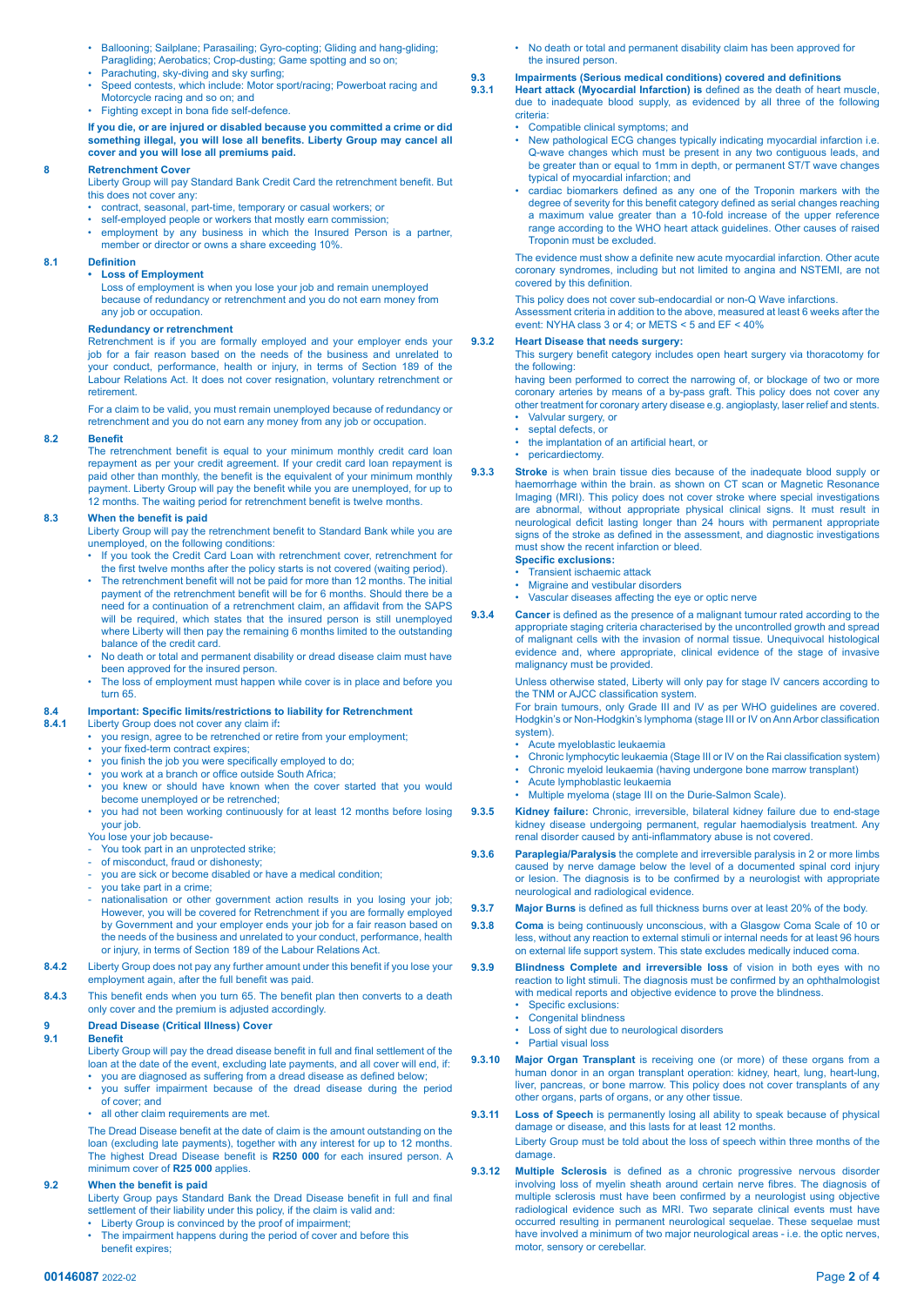- Ballooning; Sailplane; Parasailing; Gyro-copting; Gliding and hang-gliding; Paragliding; Aerobatics; Crop-dusting; Game spotting and so on;
- Parachuting, sky-diving and sky surfing;
- Speed contests, which include: Motor sport/racing; Powerboat racing and Motorcycle racing and so on; and
- Fighting except in bona fide self-defence

### **If you die, or are injured or disabled because you committed a crime or did something illegal, you will lose all benefits. Liberty Group may cancel all cover and you will lose all premiums paid.**

### **8 Retrenchment Cover**

 Liberty Group will pay Standard Bank Credit Card the retrenchment benefit. But this does not cover any:

- contract, seasonal, part-time, temporary or casual workers; or
- self-employed people or workers that mostly earn commission;
	- employment by any business in which the Insured Person is a partner, member or director or owns a share exceeding 10%.

# **8.1 Definition**

## **• Loss of Employment**

 Loss of employment is when you lose your job and remain unemployed because of redundancy or retrenchment and you do not earn money from any job or occupation.

# **Redundancy or retrenchment**

Retrenchment is if you are formally employed and your employer ends your job for a fair reason based on the needs of the business and unrelated to your conduct, performance, health or injury, in terms of Section 189 of the Labour Relations Act. It does not cover resignation, voluntary retrenchment or retirement.

For a claim to be valid, you must remain unemployed because of redundancy or retrenchment and you do not earn any money from any job or occupation.

### **8.2 Benefit**

 The retrenchment benefit is equal to your minimum monthly credit card loan repayment as per your credit agreement. If your credit card loan repayment is paid other than monthly, the benefit is the equivalent of your minimum monthly payment. Liberty Group will pay the benefit while you are unemployed, for up to 12 months. The waiting period for retrenchment benefit is twelve months.

### **8.3 When the benefit is paid**

 Liberty Group will pay the retrenchment benefit to Standard Bank while you are unemployed, on the following conditions:

- If you took the Credit Card Loan with retrenchment cover, retrenchment for the first twelve months after the policy starts is not covered (waiting period).
- The retrenchment benefit will not be paid for more than 12 months. The initial payment of the retrenchment benefit will be for 6 months. Should there be a need for a continuation of a retrenchment claim, an affidavit from the SAPS will be required, which states that the insured person is still unemployed where Liberty will then pay the remaining 6 months limited to the outstanding balance of the credit card.
- No death or total and permanent disability or dread disease claim must have been approved for the insured person.
- The loss of employment must happen while cover is in place and before you turn 65.

# **8.4 Important: Specific limits/restrictions to liability for Retrenchment**

- **8.4.1** Liberty Group does not cover any claim if**:**
- you resign, agree to be retrenched or retire from your employment;
- your fixed-term contract expires;
- you finish the job you were specifically employed to do;
- you work at a branch or office outside South Africa;
- you knew or should have known when the cover started that you would become unemployed or be retrenched; • you had not been working continuously for at least 12 months before losing
- your job.
- You lose your job because-
- You took part in an unprotected strike; of misconduct, fraud or dishonesty;
- you are sick or become disabled or have a medical condition;
- you take part in a crime;
- nationalisation or other government action results in you losing your job; However, you will be covered for Retrenchment if you are formally employed by Government and your employer ends your job for a fair reason based on the needs of the business and unrelated to your conduct, performance, health or injury, in terms of Section 189 of the Labour Relations Act.
- **8.4.2** Liberty Group does not pay any further amount under this benefit if you lose your employment again, after the full benefit was paid.
- **8.4.3** This benefit ends when you turn 65. The benefit plan then converts to a death only cover and the premium is adjusted accordingly.

# **9 Dread Disease (Critical Illness) Cover**

### **9.1 Benefit**

Liberty Group will pay the dread disease benefit in full and final settlement of the loan at the date of the event, excluding late payments, and all cover will end, if: • you are diagnosed as suffering from a dread disease as defined below;

- you suffer impairment because of the dread disease during the period of cover; and
- all other claim requirements are met

 The Dread Disease benefit at the date of claim is the amount outstanding on the loan (excluding late payments), together with any interest for up to 12 months. The highest Dread Disease benefit is **R250 000** for each insured person. A minimum cover of **R25 000** applies.

# **9.2 When the benefit is paid**

 Liberty Group pays Standard Bank the Dread Disease benefit in full and final settlement of their liability under this policy, if the claim is valid and:

- Liberty Group is convinced by the proof of impairment;
- The impairment happens during the period of cover and before this benefit expires;

• No death or total and permanent disability claim has been approved for the insured person.

# **9.3 Impairments (Serious medical conditions) covered and definitions**

**9.3.1 Heart attack (Myocardial Infarction) is** defined as the death of heart muscle, due to inadequate blood supply, as evidenced by all three of the following criteria:

- Compatible clinical symptoms; and
	- New pathological ECG changes typically indicating myocardial infarction i.e. Q-wave changes which must be present in any two contiguous leads, and be greater than or equal to 1mm in depth, or permanent ST/T wave changes typical of myocardial infarction; and
- cardiac biomarkers defined as any one of the Troponin markers with the degree of severity for this benefit category defined as serial changes reaching a maximum value greater than a 10-fold increase of the upper reference range according to the WHO heart attack guidelines. Other causes of raised Troponin must be excluded.

 The evidence must show a definite new acute myocardial infarction. Other acute coronary syndromes, including but not limited to angina and NSTEMI, are not covered by this definition.

 This policy does not cover sub-endocardial or non-Q Wave infarctions.

Assessment criteria in addition to the above, measured at least 6 weeks after the event: NYHA class 3 or 4; or METS < 5 and EF < 40%

# **9.3.2 Heart Disease that needs surgery:**

 This surgery benefit category includes open heart surgery via thoracotomy for the following:

having been performed to correct the narrowing of, or blockage of two or more coronary arteries by means of a by-pass graft. This policy does not cover any other treatment for coronary artery disease e.g. angioplasty, laser relief and stents. • Valvular surgery, or

- septal defects, or
- the implantation of an artificial heart, or
- pericardiectomy.
- **9.3.3 Stroke** is when brain tissue dies because of the inadequate blood supply or haemorrhage within the brain. as shown on CT scan or Magnetic Resonance Imaging (MRI). This policy does not cover stroke where special investigations are abnormal, without appropriate physical clinical signs. It must result in neurological deficit lasting longer than 24 hours with permanent appropriate signs of the stroke as defined in the assessment, and diagnostic investigations must show the recent infarction or bleed.
	- **Specific exclusions:**
	- Transient ischaemic attack
	- Migraine and vestibular disorders
	- Vascular diseases affecting the eye or optic nerve
- **9.3.4 Cancer** is defined as the presence of a malignant tumour rated according to the appropriate staging criteria characterised by the uncontrolled growth and spread of malignant cells with the invasion of normal tissue. Unequivocal histological evidence and, where appropriate, clinical evidence of the stage of invasive malignancy must be provided.

Unless otherwise stated, Liberty will only pay for stage IV cancers according to the TNM or AJCC classification system.

For brain tumours, only Grade III and IV as per WHO guidelines are covered. Hodgkin's or Non-Hodgkin's lymphoma (stage III or IV on Ann Arbor classification system).

- Acute myeloblastic leukaemia
- Chronic lymphocytic leukaemia (Stage III or IV on the Rai classification system)
- Chronic myeloid leukaemia (having undergone bone marrow transplant)
- Acute lymphoblastic leukaemia
- Multiple myeloma (stage III on the Durie-Salmon Scale).
- **9.3.5 Kidney failure:** Chronic, irreversible, bilateral kidney failure due to end-stage kidney disease undergoing permanent, regular haemodialysis treatment. Any renal disorder caused by anti-inflammatory abuse is not covered.
- **9.3.6 Paraplegia/Paralysis** the complete and irreversible paralysis in 2 or more limbs caused by nerve damage below the level of a documented spinal cord injury or lesion. The diagnosis is to be confirmed by a neurologist with appropriate neurological and radiological evidence.
- **9.3.7 Major Burns** is defined as full thickness burns over at least 20% of the body.
- **9.3.8 Coma** is being continuously unconscious, with a Glasgow Coma Scale of 10 or less, without any reaction to external stimuli or internal needs for at least 96 hours on external life support system. This state excludes medically induced coma.
- **9.3.9 Blindness Complete and irreversible loss** of vision in both eyes with no reaction to light stimuli. The diagnosis must be confirmed by an ophthalmologist with medical reports and objective evidence to prove the blindness.
	- Specific exclusions: • Congenital blindness
	- Loss of sight due to neurological disorders
	- Partial visual loss
- **9.3.10 Major Organ Transplant** is receiving one (or more) of these organs from a human donor in an organ transplant operation: kidney, heart, lung, heart-lung, liver, pancreas, or bone marrow. This policy does not cover transplants of any other organs, parts of organs, or any other tissue.
- **9.3.11 Loss of Speech** is permanently losing all ability to speak because of physical damage or disease, and this lasts for at least 12 months. Liberty Group must be told about the loss of speech within three months of the damage.
- **9.3.12 Multiple Sclerosis** is defined as a chronic progressive nervous disorder involving loss of myelin sheath around certain nerve fibres. The diagnosis of multiple sclerosis must have been confirmed by a neurologist using objective radiological evidence such as MRI. Two separate clinical events must have occurred resulting in permanent neurological sequelae. These sequelae must have involved a minimum of two major neurological areas - i.e. the optic nerves, motor, sensory or cerebellar.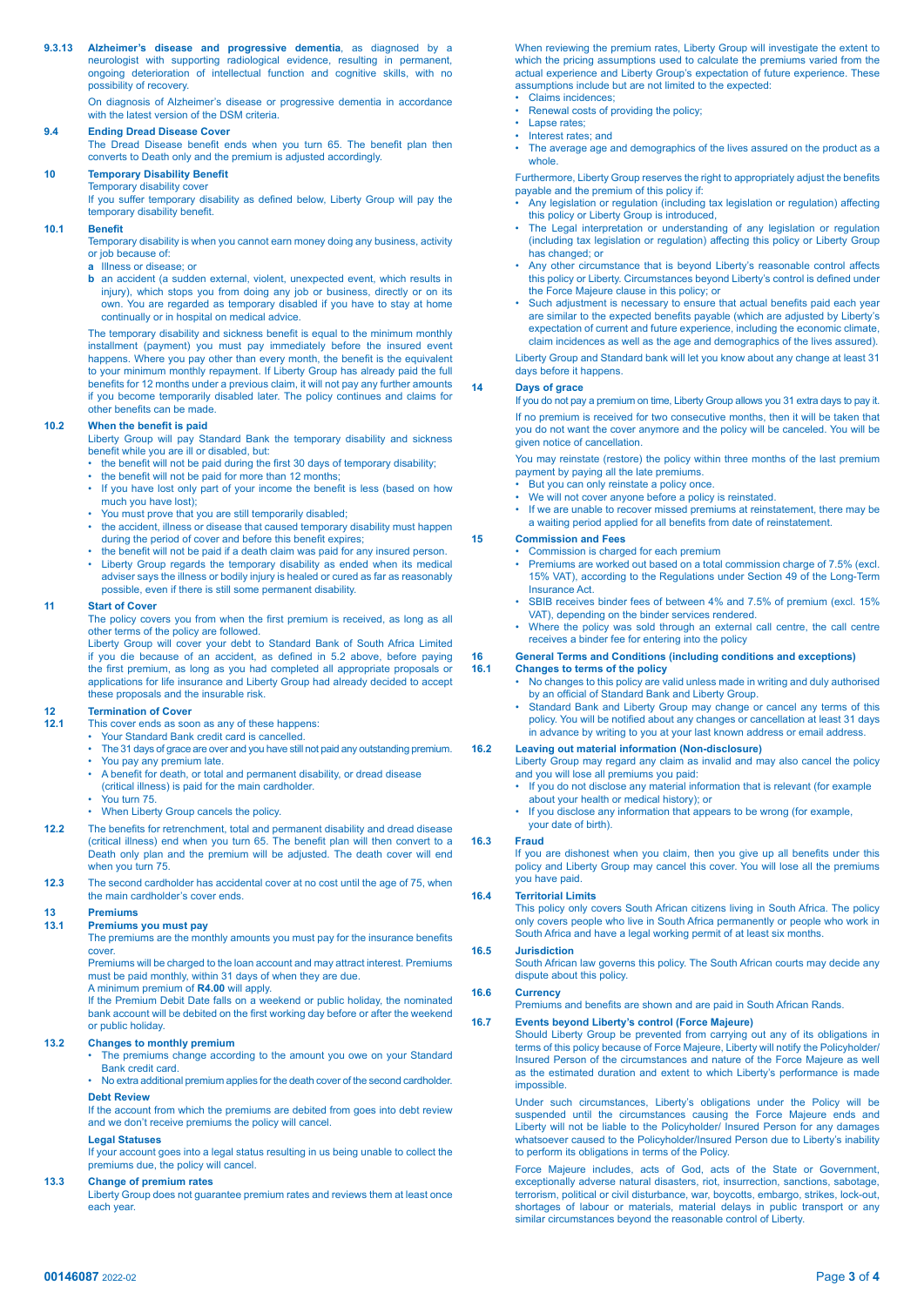**9.3.13 Alzheimer's disease and progressive dementia**, as diagnosed by a neurologist with supporting radiological evidence, resulting in permanent, ongoing deterioration of intellectual function and cognitive skills, with no possibility of recovery.

On diagnosis of Alzheimer's disease or progressive dementia in accordance with the latest version of the DSM criteria.

## **9.4 Ending Dread Disease Cover**

 The Dread Disease benefit ends when you turn 65. The benefit plan then converts to Death only and the premium is adjusted accordingly.

### **10 Temporary Disability Benefit**  Temporary disability cover

 If you suffer temporary disability as defined below, Liberty Group will pay the temporary disability benefit.

### **10.1 Benefit**

Temporary disability is when you cannot earn money doing any business, activity or job because of:

- **a** Illness or disease; or
- **b** an accident (a sudden external, violent, unexpected event, which results in injury), which stops you from doing any job or business, directly or on its own. You are regarded as temporary disabled if you have to stay at home continually or in hospital on medical advice.

 The temporary disability and sickness benefit is equal to the minimum monthly installment (payment) you must pay immediately before the insured event happens. Where you pay other than every month, the benefit is the equivalent to your minimum monthly repayment. If Liberty Group has already paid the full benefits for 12 months under a previous claim, it will not pay any further amounts if you become temporarily disabled later. The policy continues and claims for other benefits can be made.

## **10.2 When the benefit is paid**

Liberty Group will pay Standard Bank the temporary disability and sickness benefit while you are ill or disabled, but:

- the benefit will not be paid during the first 30 days of temporary disability;
- the benefit will not be paid for more than 12 months
- If you have lost only part of your income the benefit is less (based on how much you have lost);
- You must prove that you are still temporarily disabled;
- the accident, illness or disease that caused temporary disability must happen during the period of cover and before this benefit expires;
- the benefit will not be paid if a death claim was paid for any insured person.
- Liberty Group regards the temporary disability as ended when its medical adviser says the illness or bodily injury is healed or cured as far as reasonably possible, even if there is still some permanent disability.

### **11 Start of Cover**

 The policy covers you from when the first premium is received, as long as all other terms of the policy are followed.

Liberty Group will cover your debt to Standard Bank of South Africa Limited if you die because of an accident, as defined in 5.2 above, before paying the first premium, as long as you had completed all appropriate proposals or applications for life insurance and Liberty Group had already decided to accept these proposals and the insurable risk.

# **12 Termination of Cover**<br>**12.1 This cover ends as soc**

- **12.1** This cover ends as soon as any of these happens:
- Your Standard Bank credit card is cancelled.
- The 31 days of grace are over and you have still not paid any outstanding premium. You pay any premium late.
- A benefit for death, or total and permanent disability, or dread disease
- (critical illness) is paid for the main cardholder.
- You turn 75.
- When Liberty Group cancels the policy.
- **12.2** The benefits for retrenchment, total and permanent disability and dread disease (critical illness) end when you turn 65. The benefit plan will then convert to a Death only plan and the premium will be adjusted. The death cover will end when you turn 75
- **12.3** The second cardholder has accidental cover at no cost until the age of 75, when the main cardholder's cover ends.

# **13 Premiums**

## **13.1 Premiums you must pay**

The premiums are the monthly amounts you must pay for the insurance benefits cover.

Premiums will be charged to the loan account and may attract interest. Premiums must be paid monthly, within 31 days of when they are due. A minimum premium of **R4.00** will apply.

If the Premium Debit Date falls on a weekend or public holiday, the nominated bank account will be debited on the first working day before or after the weekend or public holiday.

### **13.2 Changes to monthly premium**

- The premiums change according to the amount you owe on your Standard Bank credit card.
- No extra additional premium applies for the death cover of the second cardholder. **Debt Review**

If the account from which the premiums are debited from goes into debt review

# and we don't receive premiums the policy will cancel.

**Legal Statuses**

If your account goes into a legal status resulting in us being unable to collect the premiums due, the policy will cancel.

### **13.3 Change of premium rates**

Liberty Group does not guarantee premium rates and reviews them at least once each year.

When reviewing the premium rates, Liberty Group will investigate the extent to which the pricing assumptions used to calculate the premiums varied from the actual experience and Liberty Group's expectation of future experience. These assumptions include but are not limited to the expected:

- Claims incidences;
- Renewal costs of providing the policy; Lapse rates:
- Interest rates; and
- The average age and demographics of the lives assured on the product as a whole

 Furthermore, Liberty Group reserves the right to appropriately adjust the benefits payable and the premium of this policy if:

- Any legislation or regulation (including tax legislation or regulation) affecting this policy or Liberty Group is introduced,
- The Legal interpretation or understanding of any legislation or regulation (including tax legislation or regulation) affecting this policy or Liberty Group has changed; or
- Any other circumstance that is beyond Liberty's reasonable control affects this policy or Liberty. Circumstances beyond Liberty's control is defined under the Force Majeure clause in this policy; or
- Such adjustment is necessary to ensure that actual benefits paid each year are similar to the expected benefits payable (which are adjusted by Liberty's expectation of current and future experience, including the economic climate, claim incidences as well as the age and demographics of the lives assured).

Liberty Group and Standard bank will let you know about any change at least 31 days before it happens.

### **14 Days of grace**

If you do not pay a premium on time, Liberty Group allows you 31 extra days to pay it. If no premium is received for two consecutive months, then it will be taken that you do not want the cover anymore and the policy will be canceled. You will be given notice of cancellation.

 You may reinstate (restore) the policy within three months of the last premium payment by paying all the late premiums.

- But you can only reinstate a policy once. We will not cover anyone before a policy is reinstated.
- If we are unable to recover missed premiums at reinstatement, there may be
- a waiting period applied for all benefits from date of reinstatement.

# **15 Commission and Fees**

- Commission is charged for each premium Premiums are worked out based on a total commission charge of 7.5% (excl.
- 15% VAT), according to the Regulations under Section 49 of the Long-Term Insurance Act.
- SBIB receives binder fees of between 4% and 7.5% of premium (excl. 15%) VAT), depending on the binder services rendered.
- Where the policy was sold through an external call centre, the call centre receives a binder fee for entering into the policy

# **16 General Terms and Conditions (including conditions and exceptions)**

# **16.1 Changes to terms of the policy**

- No changes to this policy are valid unless made in writing and duly authorised by an official of Standard Bank and Liberty Group.
- Standard Bank and Liberty Group may change or cancel any terms of this policy. You will be notified about any changes or cancellation at least 31 days in advance by writing to you at your last known address or email address.

### **16.2 Leaving out material information (Non-disclosure)**

- Liberty Group may regard any claim as invalid and may also cancel the policy and you will lose all premiums you paid:
- If you do not disclose any material information that is relevant (for example about your health or medical history); or
- If you disclose any information that appears to be wrong (for example, your date of birth).

### **16.3 Fraud**

 If you are dishonest when you claim, then you give up all benefits under this policy and Liberty Group may cancel this cover. You will lose all the premiums you have paid.

### **16.4 Territorial Limits**

This policy only covers South African citizens living in South Africa. The policy only covers people who live in South Africa permanently or people who work in South Africa and have a legal working permit of at least six months.

### **16.5 Jurisdiction**

South African law governs this policy. The South African courts may decide any dispute about this policy.

## **16.6 Currency**

 Premiums and benefits are shown and are paid in South African Rands.

### **16.7 Events beyond Liberty's control (Force Majeure)**

Should Liberty Group be prevented from carrying out any of its obligations in terms of this policy because of Force Majeure, Liberty will notify the Policyholder/ Insured Person of the circumstances and nature of the Force Majeure as well as the estimated duration and extent to which Liberty's performance is made impossible.

Under such circumstances, Liberty's obligations under the Policy will be suspended until the circumstances causing the Force Majeure ends and Liberty will not be liable to the Policyholder/ Insured Person for any damages whatsoever caused to the Policyholder/Insured Person due to Liberty's inability to perform its obligations in terms of the Policy.

 Force Majeure includes, acts of God, acts of the State or Government, exceptionally adverse natural disasters, riot, insurrection, sanctions, sabotage, terrorism, political or civil disturbance, war, boycotts, embargo, strikes, lock-out, shortages of labour or materials, material delays in public transport or any similar circumstances beyond the reasonable control of Liberty.